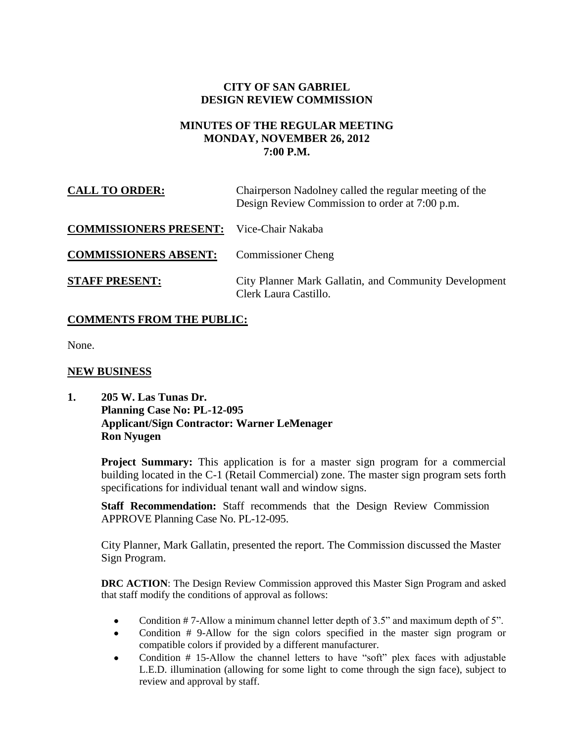# **CITY OF SAN GABRIEL DESIGN REVIEW COMMISSION**

#### **MINUTES OF THE REGULAR MEETING MONDAY, NOVEMBER 26, 2012 7:00 P.M.**

| <b>CALL TO ORDER:</b>         | Chairperson Nadolney called the regular meeting of the<br>Design Review Commission to order at 7:00 p.m. |
|-------------------------------|----------------------------------------------------------------------------------------------------------|
| <b>COMMISSIONERS PRESENT:</b> | Vice-Chair Nakaba                                                                                        |
| <b>COMMISSIONERS ABSENT:</b>  | <b>Commissioner Cheng</b>                                                                                |
| <b>STAFF PRESENT:</b>         | City Planner Mark Gallatin, and Community Development<br>Clerk Laura Castillo.                           |

# **COMMENTS FROM THE PUBLIC:**

None.

# **NEW BUSINESS**

**1. 205 W. Las Tunas Dr. Planning Case No: PL-12-095 Applicant/Sign Contractor: Warner LeMenager Ron Nyugen**

> **Project Summary:** This application is for a master sign program for a commercial building located in the C-1 (Retail Commercial) zone. The master sign program sets forth specifications for individual tenant wall and window signs.

**Staff Recommendation:** Staff recommends that the Design Review Commission APPROVE Planning Case No. PL-12-095.

City Planner, Mark Gallatin, presented the report. The Commission discussed the Master Sign Program.

**DRC ACTION**: The Design Review Commission approved this Master Sign Program and asked that staff modify the conditions of approval as follows:

- $\bullet$ Condition # 7-Allow a minimum channel letter depth of 3.5" and maximum depth of 5".
- Condition # 9-Allow for the sign colors specified in the master sign program or  $\bullet$ compatible colors if provided by a different manufacturer.
- Condition # 15-Allow the channel letters to have "soft" plex faces with adjustable L.E.D. illumination (allowing for some light to come through the sign face), subject to review and approval by staff.